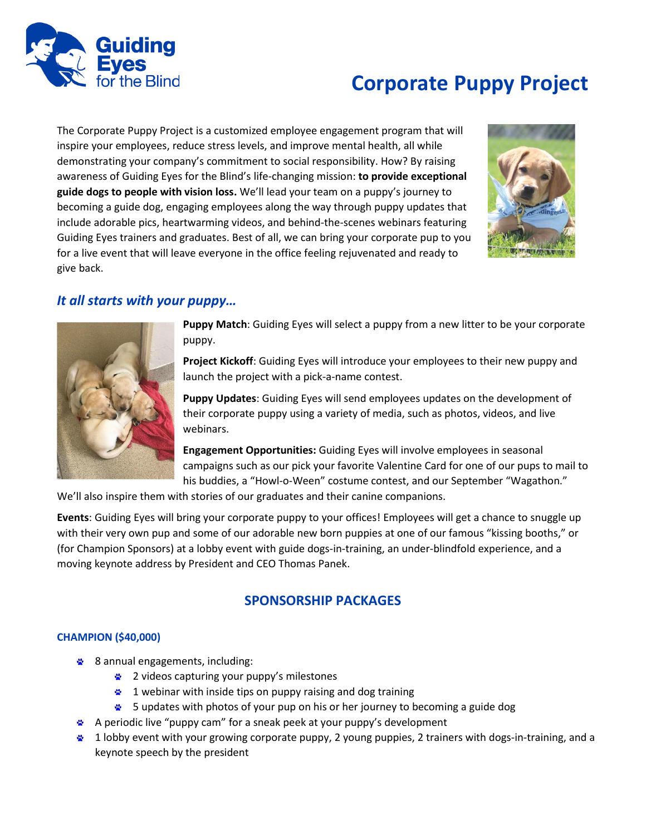

# **Corporate Puppy Project**

The Corporate Puppy Project is a customized employee engagement program that will inspire your employees, reduce stress levels, and improve mental health, all while demonstrating your company's commitment to social responsibility. How? By raising awareness of Guiding Eyes for the Blind's life-changing mission: **to provide exceptional guide dogs to people with vision loss.** We'll lead your team on a puppy's journey to becoming a guide dog, engaging employees along the way through puppy updates that include adorable pics, heartwarming videos, and behind-the-scenes webinars featuring Guiding Eyes trainers and graduates. Best of all, we can bring your corporate pup to you for a live event that will leave everyone in the office feeling rejuvenated and ready to give back.



## *It all starts with your puppy…*



**Puppy Match**: Guiding Eyes will select a puppy from a new litter to be your corporate puppy.

**Project Kickoff**: Guiding Eyes will introduce your employees to their new puppy and launch the project with a pick-a-name contest.

**Puppy Updates**: Guiding Eyes will send employees updates on the development of their corporate puppy using a variety of media, such as photos, videos, and live webinars.

**Engagement Opportunities:** Guiding Eyes will involve employees in seasonal campaigns such as our pick your favorite Valentine Card for one of our pups to mail to his buddies, a "Howl-o-Ween" costume contest, and our September "Wagathon."

We'll also inspire them with stories of our graduates and their canine companions.

**Events**: Guiding Eyes will bring your corporate puppy to your offices! Employees will get a chance to snuggle up with their very own pup and some of our adorable new born puppies at one of our famous "kissing booths," or (for Champion Sponsors) at a lobby event with guide dogs-in-training, an under-blindfold experience, and a moving keynote address by President and CEO Thomas Panek.

### **SPONSORSHIP PACKAGES**

#### **CHAMPION (\$40,000)**

- 8 annual engagements, including:
	- 2 videos capturing your puppy's milestones
	- <sup>2</sup> 1 webinar with inside tips on puppy raising and dog training
	- **5** updates with photos of your pup on his or her journey to becoming a guide dog
- A periodic live "puppy cam" for a sneak peek at your puppy's development
- <sup>2</sup> 1 lobby event with your growing corporate puppy, 2 young puppies, 2 trainers with dogs-in-training, and a keynote speech by the president